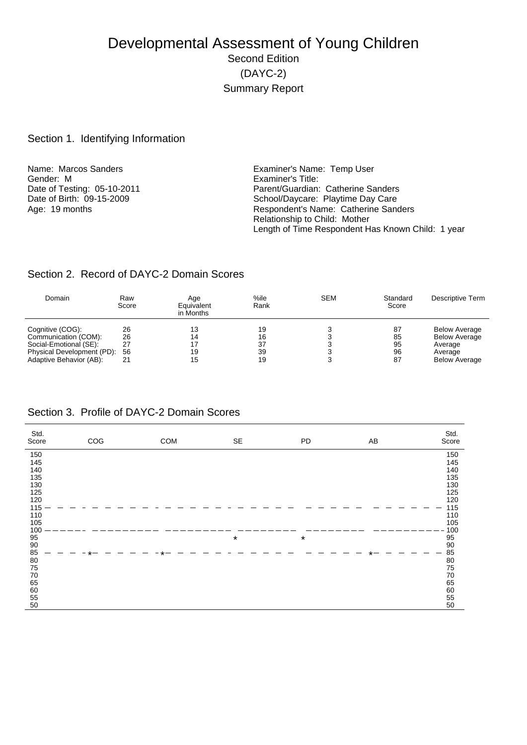# Developmental Assessment of Young Children Second Edition (DAYC-2) Summary Report

#### Section 1. Identifying Information

Name: Marcos Sanders **Examiner's Name: Temp User** Gender: M<br>
Date of Testing: 05-10-2011<br>
Date of Testing: 05-10-2011

Date of Testing: 05-10-2011 <br>
Date of Birth: 09-15-2009 <br>
School/Daycare: Playtime Day Care Date of Birth: 09-15-2009 <br>
Age: 19 months <br>
Age: 19 months <br>
School/Daycare: Playtime Day Care<br>
Respondent's Name: Catherine Sand Respondent's Name: Catherine Sanders Relationship to Child: Mother Length of Time Respondent Has Known Child: 1 year

#### Section 2. Record of DAYC-2 Domain Scores

| Domain                     | Raw<br>Score | Age<br>Equivalent<br>in Months | %ile<br>Rank | <b>SEM</b> | Standard<br>Score | Descriptive Term     |
|----------------------------|--------------|--------------------------------|--------------|------------|-------------------|----------------------|
| Cognitive (COG):           | 26           | 13                             | 19           |            | 87                | <b>Below Average</b> |
|                            |              |                                |              |            |                   |                      |
| Communication (COM):       | 26           | 14                             | 16           |            | 85                | <b>Below Average</b> |
| Social-Emotional (SE):     | 27           |                                | 37           |            | 95                | Average              |
| Physical Development (PD): | 56           | 19                             | 39           |            | 96                | Average              |
| Adaptive Behavior (AB):    | 21           | 15                             | 19           |            | 87                | <b>Below Average</b> |

#### Section 3. Profile of DAYC-2 Domain Scores

| Std.<br>Score | COG | COM | SE      | PD      | AB | Std.<br>Score |
|---------------|-----|-----|---------|---------|----|---------------|
| 150           |     |     |         |         |    | 150           |
| 145           |     |     |         |         |    | 145           |
| 140           |     |     |         |         |    | 140           |
| 135           |     |     |         |         |    | 135           |
| 130           |     |     |         |         |    | 130           |
| 125           |     |     |         |         |    | 125           |
| 120           |     |     |         |         |    | 120           |
| 115           |     |     |         |         |    | 115           |
| 110<br>105    |     |     |         |         |    | 110<br>105    |
| 100           |     |     |         |         |    | 100           |
| 95            |     |     | $\star$ | $\star$ |    | 95            |
| 90            |     |     |         |         |    | $90\,$        |
| 85            |     |     |         |         |    | 85            |
| $80\,$        |     |     |         |         |    | 80            |
| 75            |     |     |         |         |    | ${\bf 75}$    |
| 70            |     |     |         |         |    | 70            |
| 65            |     |     |         |         |    | 65            |
| 60            |     |     |         |         |    | 60            |
| 55            |     |     |         |         |    | 55            |
| 50            |     |     |         |         |    | 50            |